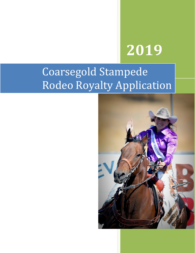# **2019**

## Coarsegold Stampede Rodeo Royalty Application

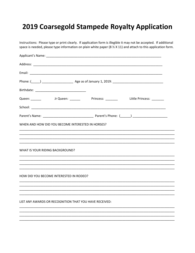## 2019 Coarsegold Stampede Royalty Application

Instructions: Please type or print clearly. If application form is illegible it may not be accepted. If additional space is needed, please type information on plain white paper (8 % X 11) and attach to this application form.

| Queen: _________     Jr Queen: ________    Princess: _________    Little Princess: ________ |
|---------------------------------------------------------------------------------------------|
|                                                                                             |
|                                                                                             |
| WHEN AND HOW DID YOU BECOME INTERESTED IN HORSES?                                           |
|                                                                                             |
|                                                                                             |
| WHAT IS YOUR RIDING BACKGROUND?                                                             |
|                                                                                             |
|                                                                                             |
| HOW DID YOU BECOME INTERESTED IN RODEO?                                                     |
|                                                                                             |
|                                                                                             |
| LIST ANY AWARDS OR RECOGNITION THAT YOU HAVE RECEIVED:                                      |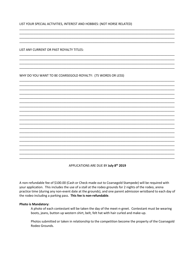LIST YOUR SPECIAL ACTIVITIES, INTEREST AND HOBBIES: (NOT HORSE RELATED)

LIST ANY CURRENT OR PAST ROYALTY TITLES:

WHY DO YOU WANT TO BE COARSEGOLD ROYALTY: (75 WORDS OR LESS)

APPLICATIONS ARE DUE BY July 8th 2019

A non-refundable fee of \$100.00 (Cash or Check made out to Coarsegold Stampede) will be required with your application. This includes the use of a stall at the rodeo grounds for 2 nights of the rodeo, arena practice time (during any non-event date at the grounds), and one parent admission wristband to each day of the rodeo including a parking pass. This fee is non-refundable.

#### **Photo is Mandatory:**

A photo of each contestant will be taken the day of the meet-n-greet. Contestant must be wearing boots, jeans, button up western shirt, belt, felt hat with hair curled and make-up.

Photos submitted or taken in relationship to the competition become the property of the Coarsegold Rodeo Grounds.